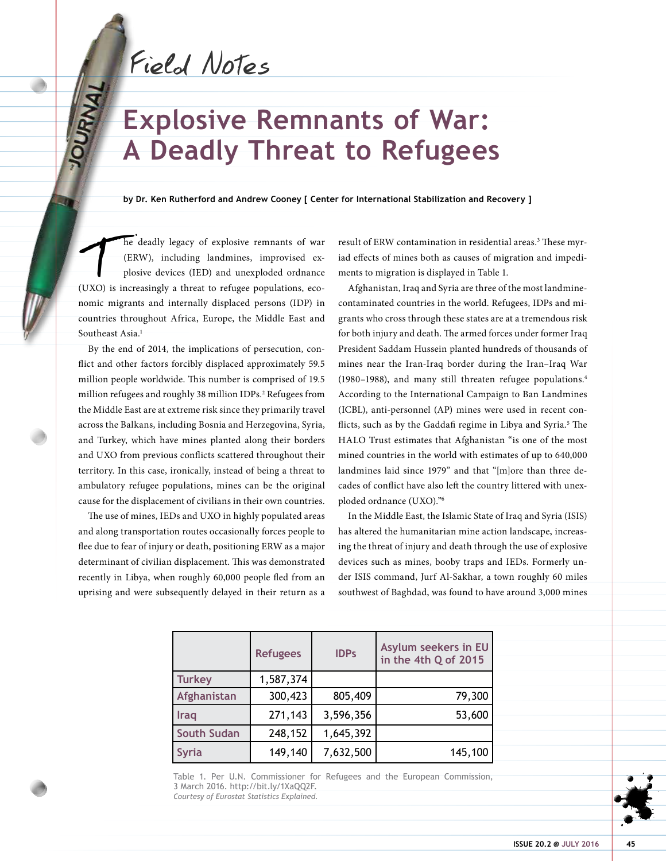Field Notes

**OURWAI** 

# **Explosive Remnants of War: A Deadly Threat to Refugees**

**by Dr. Ken Rutherford and Andrew Cooney [ Center for International Stabilization and Recovery ]**

The deadly legacy of explosive remnants of war (ERW), including landmines, improvised explosive devices (IED) and unexploded ordnance (UXO) is increasingly a threat to refugee populations, eco-(ERW), including landmines, improvised explosive devices (IED) and unexploded ordnance nomic migrants and internally displaced persons (IDP) in countries throughout Africa, Europe, the Middle East and Southeast Asia.<sup>1</sup>

By the end of 2014, the implications of persecution, conflict and other factors forcibly displaced approximately 59.5 million people worldwide. This number is comprised of 19.5 million refugees and roughly 38 million IDPs.2 Refugees from the Middle East are at extreme risk since they primarily travel across the Balkans, including Bosnia and Herzegovina, Syria, and Turkey, which have mines planted along their borders and UXO from previous conflicts scattered throughout their territory. In this case, ironically, instead of being a threat to ambulatory refugee populations, mines can be the original cause for the displacement of civilians in their own countries.

The use of mines, IEDs and UXO in highly populated areas and along transportation routes occasionally forces people to flee due to fear of injury or death, positioning ERW as a major determinant of civilian displacement. This was demonstrated recently in Libya, when roughly 60,000 people fled from an uprising and were subsequently delayed in their return as a

result of ERW contamination in residential areas.<sup>3</sup> These myriad effects of mines both as causes of migration and impediments to migration is displayed in Table 1.

Afghanistan, Iraq and Syria are three of the most landminecontaminated countries in the world. Refugees, IDPs and migrants who cross through these states are at a tremendous risk for both injury and death. The armed forces under former Iraq President Saddam Hussein planted hundreds of thousands of mines near the Iran-Iraq border during the Iran–Iraq War (1980–1988), and many still threaten refugee populations.4 According to the International Campaign to Ban Landmines (ICBL), anti-personnel (AP) mines were used in recent conflicts, such as by the Gaddafi regime in Libya and Syria.<sup>5</sup> The HALO Trust estimates that Afghanistan "is one of the most mined countries in the world with estimates of up to 640,000 landmines laid since 1979" and that "[m]ore than three decades of conflict have also left the country littered with unexploded ordnance (UXO)."6

In the Middle East, the Islamic State of Iraq and Syria (ISIS) has altered the humanitarian mine action landscape, increasing the threat of injury and death through the use of explosive devices such as mines, booby traps and IEDs. Formerly under ISIS command, Jurf Al-Sakhar, a town roughly 60 miles southwest of Baghdad, was found to have around 3,000 mines

|                    | <b>Refugees</b> | <b>IDPs</b> | Asylum seekers in EU<br>in the 4th Q of 2015 |
|--------------------|-----------------|-------------|----------------------------------------------|
| <b>Turkey</b>      | 1,587,374       |             |                                              |
| Afghanistan        | 300,423         | 805,409     | 79,300                                       |
| Iraq               | 271,143         | 3,596,356   | 53,600                                       |
| <b>South Sudan</b> | 248,152         | 1,645,392   |                                              |
| <b>Syria</b>       | 149,140         | 7,632,500   | 145,100                                      |

Table 1. Per U.N. Commissioner for Refugees and the European Commission, 3 March 2016. http://bit.ly/1XaQQ2F. *Courtesy of Eurostat Statistics Explained.*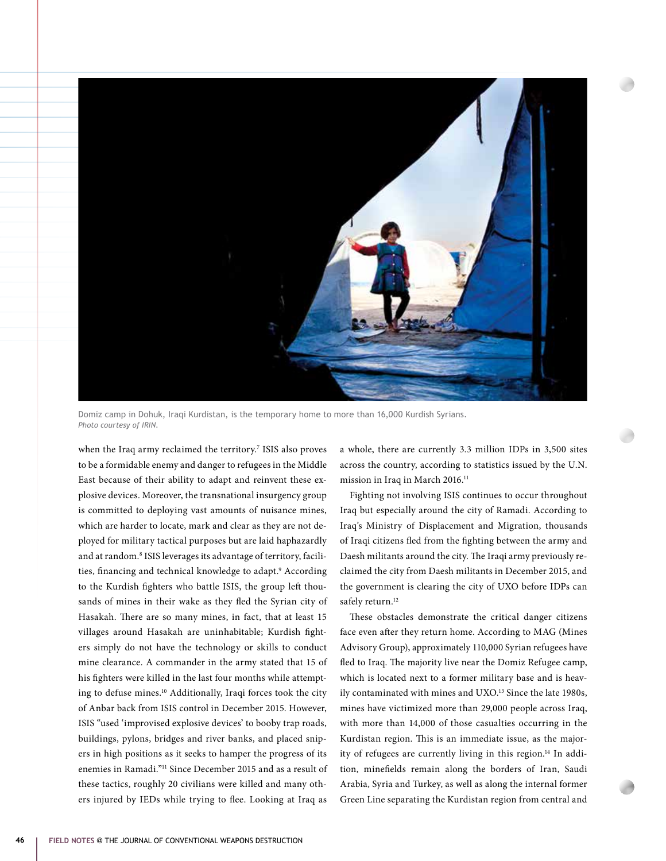

Domiz camp in Dohuk, Iraqi Kurdistan, is the temporary home to more than 16,000 Kurdish Syrians. *Photo courtesy of IRIN.*

when the Iraq army reclaimed the territory.7 ISIS also proves to be a formidable enemy and danger to refugees in the Middle East because of their ability to adapt and reinvent these explosive devices. Moreover, the transnational insurgency group is committed to deploying vast amounts of nuisance mines, which are harder to locate, mark and clear as they are not deployed for military tactical purposes but are laid haphazardly and at random.<sup>8</sup> ISIS leverages its advantage of territory, facilities, financing and technical knowledge to adapt.<sup>9</sup> According to the Kurdish fighters who battle ISIS, the group left thousands of mines in their wake as they fled the Syrian city of Hasakah. There are so many mines, in fact, that at least 15 villages around Hasakah are uninhabitable; Kurdish fighters simply do not have the technology or skills to conduct mine clearance. A commander in the army stated that 15 of his fighters were killed in the last four months while attempting to defuse mines.10 Additionally, Iraqi forces took the city of Anbar back from ISIS control in December 2015. However, ISIS "used 'improvised explosive devices' to booby trap roads, buildings, pylons, bridges and river banks, and placed snipers in high positions as it seeks to hamper the progress of its enemies in Ramadi."11 Since December 2015 and as a result of these tactics, roughly 20 civilians were killed and many others injured by IEDs while trying to flee. Looking at Iraq as

a whole, there are currently 3.3 million IDPs in 3,500 sites across the country, according to statistics issued by the U.N. mission in Iraq in March 2016.<sup>11</sup>

Fighting not involving ISIS continues to occur throughout Iraq but especially around the city of Ramadi. According to Iraq's Ministry of Displacement and Migration, thousands of Iraqi citizens fled from the fighting between the army and Daesh militants around the city. The Iraqi army previously reclaimed the city from Daesh militants in December 2015, and the government is clearing the city of UXO before IDPs can safely return.<sup>12</sup>

These obstacles demonstrate the critical danger citizens face even after they return home. According to MAG (Mines Advisory Group), approximately 110,000 Syrian refugees have fled to Iraq. The majority live near the Domiz Refugee camp, which is located next to a former military base and is heavily contaminated with mines and UXO.<sup>13</sup> Since the late 1980s, mines have victimized more than 29,000 people across Iraq, with more than 14,000 of those casualties occurring in the Kurdistan region. This is an immediate issue, as the majority of refugees are currently living in this region.<sup>14</sup> In addition, minefields remain along the borders of Iran, Saudi Arabia, Syria and Turkey, as well as along the internal former Green Line separating the Kurdistan region from central and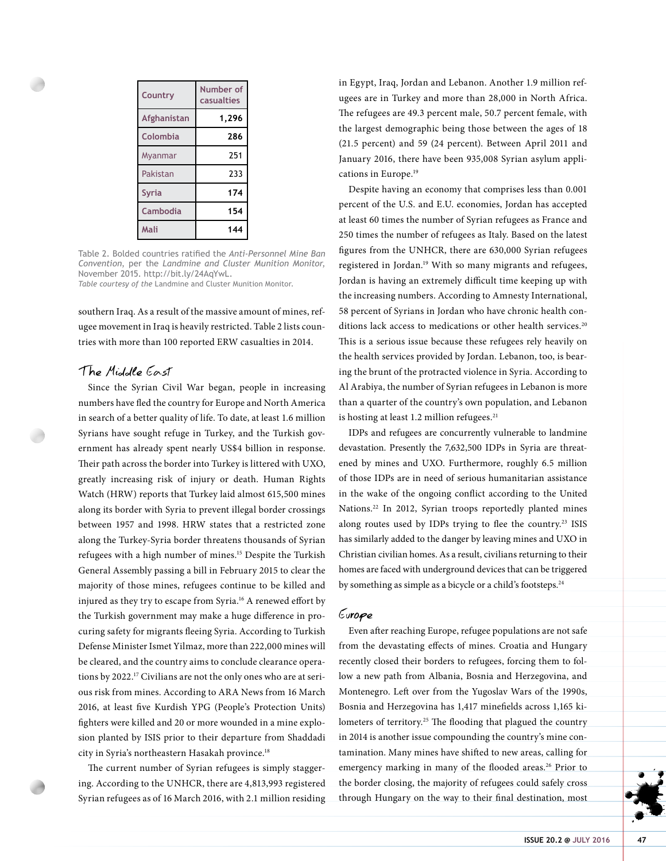| Country      | Number of<br>casualties |
|--------------|-------------------------|
| Afghanistan  | 1,296                   |
| Colombia     | 286                     |
| Myanmar      | 251                     |
| Pakistan     | 233                     |
| <b>Syria</b> | 174                     |
| Cambodia     | 154                     |
| Mali         | 144                     |

Table 2. Bolded countries ratified the *Anti-Personnel Mine Ban Convention*, per the *Landmine and Cluster Munition Monitor*, November 2015. http://bit.ly/24AqYwL. *Table courtesy of the* Landmine and Cluster Munition Monitor.

southern Iraq. As a result of the massive amount of mines, refugee movement in Iraq is heavily restricted. Table 2 lists countries with more than 100 reported ERW casualties in 2014.

# The Middle East

Since the Syrian Civil War began, people in increasing numbers have fled the country for Europe and North America in search of a better quality of life. To date, at least 1.6 million Syrians have sought refuge in Turkey, and the Turkish government has already spent nearly US\$4 billion in response. Their path across the border into Turkey is littered with UXO, greatly increasing risk of injury or death. Human Rights Watch (HRW) reports that Turkey laid almost 615,500 mines along its border with Syria to prevent illegal border crossings between 1957 and 1998. HRW states that a restricted zone along the Turkey-Syria border threatens thousands of Syrian refugees with a high number of mines.15 Despite the Turkish General Assembly passing a bill in February 2015 to clear the majority of those mines, refugees continue to be killed and injured as they try to escape from Syria.16 A renewed effort by the Turkish government may make a huge difference in procuring safety for migrants fleeing Syria. According to Turkish Defense Minister Ismet Yilmaz, more than 222,000 mines will be cleared, and the country aims to conclude clearance operations by 2022.17 Civilians are not the only ones who are at serious risk from mines. According to ARA News from 16 March 2016, at least five Kurdish YPG (People's Protection Units) fighters were killed and 20 or more wounded in a mine explosion planted by ISIS prior to their departure from Shaddadi city in Syria's northeastern Hasakah province.<sup>18</sup>

The current number of Syrian refugees is simply staggering. According to the UNHCR, there are 4,813,993 registered Syrian refugees as of 16 March 2016, with 2.1 million residing in Egypt, Iraq, Jordan and Lebanon. Another 1.9 million refugees are in Turkey and more than 28,000 in North Africa. The refugees are 49.3 percent male, 50.7 percent female, with the largest demographic being those between the ages of 18 (21.5 percent) and 59 (24 percent). Between April 2011 and January 2016, there have been 935,008 Syrian asylum applications in Europe.<sup>19</sup>

Despite having an economy that comprises less than 0.001 percent of the U.S. and E.U. economies, Jordan has accepted at least 60 times the number of Syrian refugees as France and 250 times the number of refugees as Italy. Based on the latest figures from the UNHCR, there are 630,000 Syrian refugees registered in Jordan.19 With so many migrants and refugees, Jordan is having an extremely difficult time keeping up with the increasing numbers. According to Amnesty International, 58 percent of Syrians in Jordan who have chronic health conditions lack access to medications or other health services.<sup>20</sup> This is a serious issue because these refugees rely heavily on the health services provided by Jordan. Lebanon, too, is bearing the brunt of the protracted violence in Syria. According to Al Arabiya, the number of Syrian refugees in Lebanon is more than a quarter of the country's own population, and Lebanon is hosting at least 1.2 million refugees.<sup>21</sup>

IDPs and refugees are concurrently vulnerable to landmine devastation. Presently the 7,632,500 IDPs in Syria are threatened by mines and UXO. Furthermore, roughly 6.5 million of those IDPs are in need of serious humanitarian assistance in the wake of the ongoing conflict according to the United Nations.22 In 2012, Syrian troops reportedly planted mines along routes used by IDPs trying to flee the country.<sup>23</sup> ISIS has similarly added to the danger by leaving mines and UXO in Christian civilian homes. As a result, civilians returning to their homes are faced with underground devices that can be triggered by something as simple as a bicycle or a child's footsteps.<sup>24</sup>

#### Europe

Even after reaching Europe, refugee populations are not safe from the devastating effects of mines. Croatia and Hungary recently closed their borders to refugees, forcing them to follow a new path from Albania, Bosnia and Herzegovina, and Montenegro. Left over from the Yugoslav Wars of the 1990s, Bosnia and Herzegovina has 1,417 minefields across 1,165 kilometers of territory.<sup>25</sup> The flooding that plagued the country in 2014 is another issue compounding the country's mine contamination. Many mines have shifted to new areas, calling for emergency marking in many of the flooded areas.<sup>26</sup> Prior to the border closing, the majority of refugees could safely cross through Hungary on the way to their final destination, most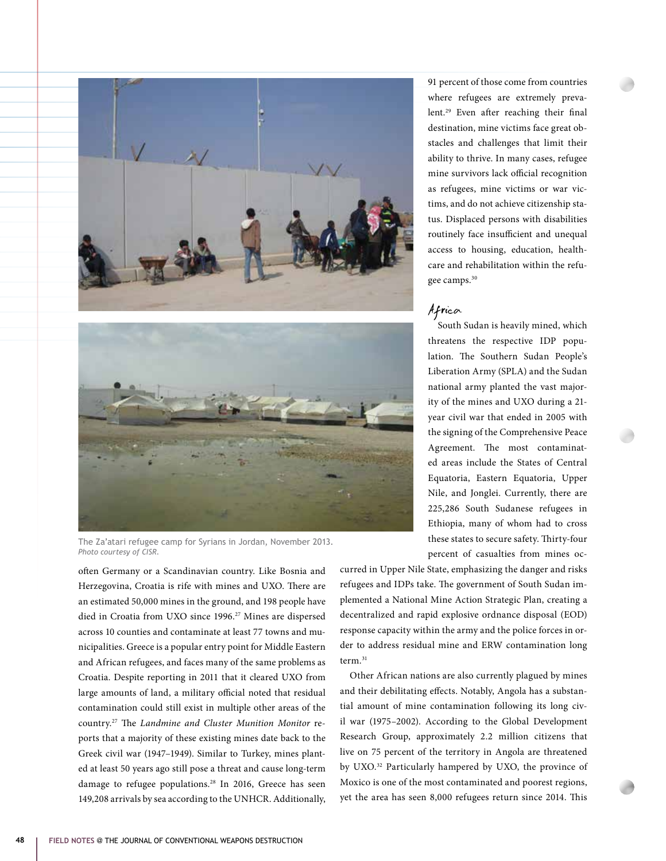



The Za'atari refugee camp for Syrians in Jordan, November 2013. *Photo courtesy of CISR.*

often Germany or a Scandinavian country. Like Bosnia and Herzegovina, Croatia is rife with mines and UXO. There are an estimated 50,000 mines in the ground, and 198 people have died in Croatia from UXO since 1996.<sup>27</sup> Mines are dispersed across 10 counties and contaminate at least 77 towns and municipalities. Greece is a popular entry point for Middle Eastern and African refugees, and faces many of the same problems as Croatia. Despite reporting in 2011 that it cleared UXO from large amounts of land, a military official noted that residual contamination could still exist in multiple other areas of the country.27 The *Landmine and Cluster Munition Monitor* reports that a majority of these existing mines date back to the Greek civil war (1947–1949). Similar to Turkey, mines planted at least 50 years ago still pose a threat and cause long-term damage to refugee populations.<sup>28</sup> In 2016, Greece has seen 149,208 arrivals by sea according to the UNHCR. Additionally, 91 percent of those come from countries where refugees are extremely prevalent.29 Even after reaching their final destination, mine victims face great obstacles and challenges that limit their ability to thrive. In many cases, refugee mine survivors lack official recognition as refugees, mine victims or war victims, and do not achieve citizenship status. Displaced persons with disabilities routinely face insufficient and unequal access to housing, education, healthcare and rehabilitation within the refugee camps.<sup>30</sup>

# Africa

South Sudan is heavily mined, which threatens the respective IDP population. The Southern Sudan People's Liberation Army (SPLA) and the Sudan national army planted the vast majority of the mines and UXO during a 21 year civil war that ended in 2005 with the signing of the Comprehensive Peace Agreement. The most contaminated areas include the States of Central Equatoria, Eastern Equatoria, Upper Nile, and Jonglei. Currently, there are 225,286 South Sudanese refugees in Ethiopia, many of whom had to cross these states to secure safety. Thirty-four percent of casualties from mines oc-

curred in Upper Nile State, emphasizing the danger and risks refugees and IDPs take. The government of South Sudan implemented a National Mine Action Strategic Plan, creating a decentralized and rapid explosive ordnance disposal (EOD) response capacity within the army and the police forces in order to address residual mine and ERW contamination long term.<sup>31</sup>

Other African nations are also currently plagued by mines and their debilitating effects. Notably, Angola has a substantial amount of mine contamination following its long civil war (1975–2002). According to the Global Development Research Group, approximately 2.2 million citizens that live on 75 percent of the territory in Angola are threatened by UXO.<sup>32</sup> Particularly hampered by UXO, the province of Moxico is one of the most contaminated and poorest regions, yet the area has seen 8,000 refugees return since 2014. This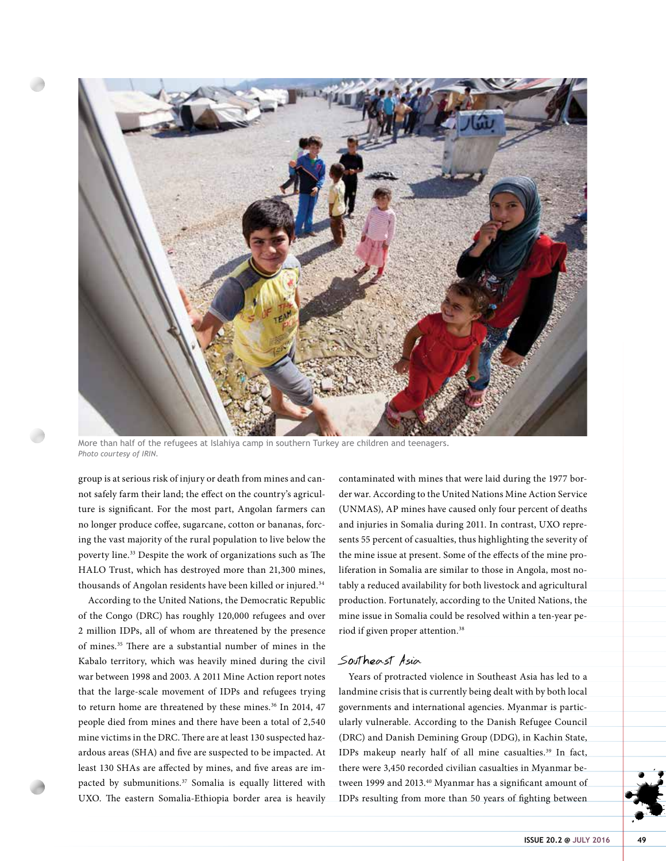

More than half of the refugees at Islahiya camp in southern Turkey are children and teenagers. *Photo courtesy of IRIN.*

group is at serious risk of injury or death from mines and cannot safely farm their land; the effect on the country's agriculture is significant. For the most part, Angolan farmers can no longer produce coffee, sugarcane, cotton or bananas, forcing the vast majority of the rural population to live below the poverty line.33 Despite the work of organizations such as The HALO Trust, which has destroyed more than 21,300 mines, thousands of Angolan residents have been killed or injured.<sup>34</sup>

According to the United Nations, the Democratic Republic of the Congo (DRC) has roughly 120,000 refugees and over 2 million IDPs, all of whom are threatened by the presence of mines.35 There are a substantial number of mines in the Kabalo territory, which was heavily mined during the civil war between 1998 and 2003. A 2011 Mine Action report notes that the large-scale movement of IDPs and refugees trying to return home are threatened by these mines.<sup>36</sup> In 2014, 47 people died from mines and there have been a total of 2,540 mine victims in the DRC. There are at least 130 suspected hazardous areas (SHA) and five are suspected to be impacted. At least 130 SHAs are affected by mines, and five areas are impacted by submunitions.<sup>37</sup> Somalia is equally littered with UXO. The eastern Somalia-Ethiopia border area is heavily contaminated with mines that were laid during the 1977 border war. According to the United Nations Mine Action Service (UNMAS), AP mines have caused only four percent of deaths and injuries in Somalia during 2011. In contrast, UXO represents 55 percent of casualties, thus highlighting the severity of the mine issue at present. Some of the effects of the mine proliferation in Somalia are similar to those in Angola, most notably a reduced availability for both livestock and agricultural production. Fortunately, according to the United Nations, the mine issue in Somalia could be resolved within a ten-year period if given proper attention.38

## Southeast Asia

Years of protracted violence in Southeast Asia has led to a landmine crisis that is currently being dealt with by both local governments and international agencies. Myanmar is particularly vulnerable. According to the Danish Refugee Council (DRC) and Danish Demining Group (DDG), in Kachin State, IDPs makeup nearly half of all mine casualties.<sup>39</sup> In fact, there were 3,450 recorded civilian casualties in Myanmar between 1999 and 2013.<sup>40</sup> Myanmar has a significant amount of IDPs resulting from more than 50 years of fighting between